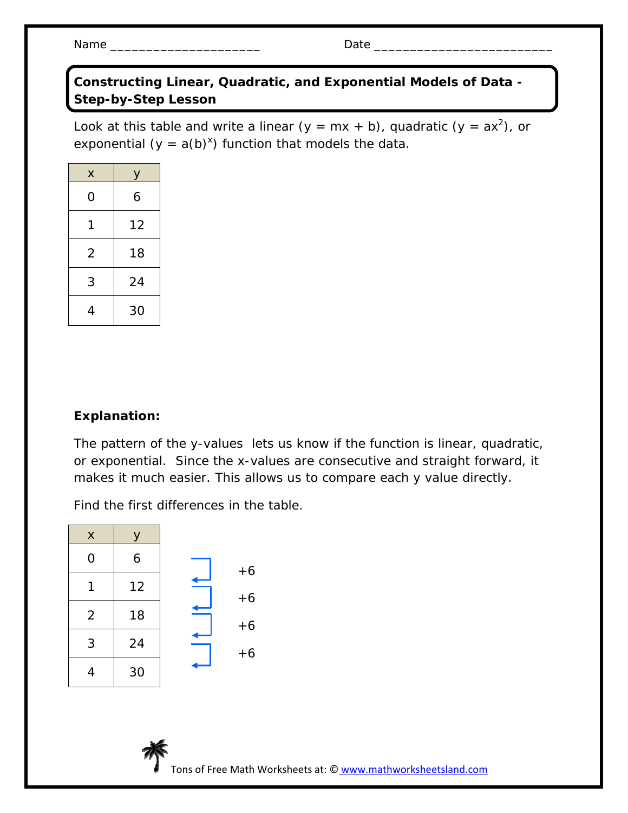Name \_\_\_\_\_\_\_\_\_\_\_\_\_\_\_\_\_\_\_\_\_ Date \_\_\_\_\_\_\_\_\_\_\_\_\_\_\_\_\_\_\_\_\_\_\_\_\_

**Constructing Linear, Quadratic, and Exponential Models of Data - Step-by-Step Lesson** 

Look at this table and write a linear ( $y = mx + b$ ), quadratic ( $y = ax^2$ ), or exponential  $(y = a(b)^x)$  function that models the data.

| X              | у  |
|----------------|----|
| 0              | 6  |
| 1              | 12 |
| $\overline{2}$ | 18 |
| 3              | 24 |
| 4              | 30 |

## **Explanation:**

The pattern of the y-values lets us know if the function is linear, quadratic, or exponential. Since the x-values are consecutive and straight forward, it makes it much easier. This allows us to compare each y value directly.

Find the first differences in the table.